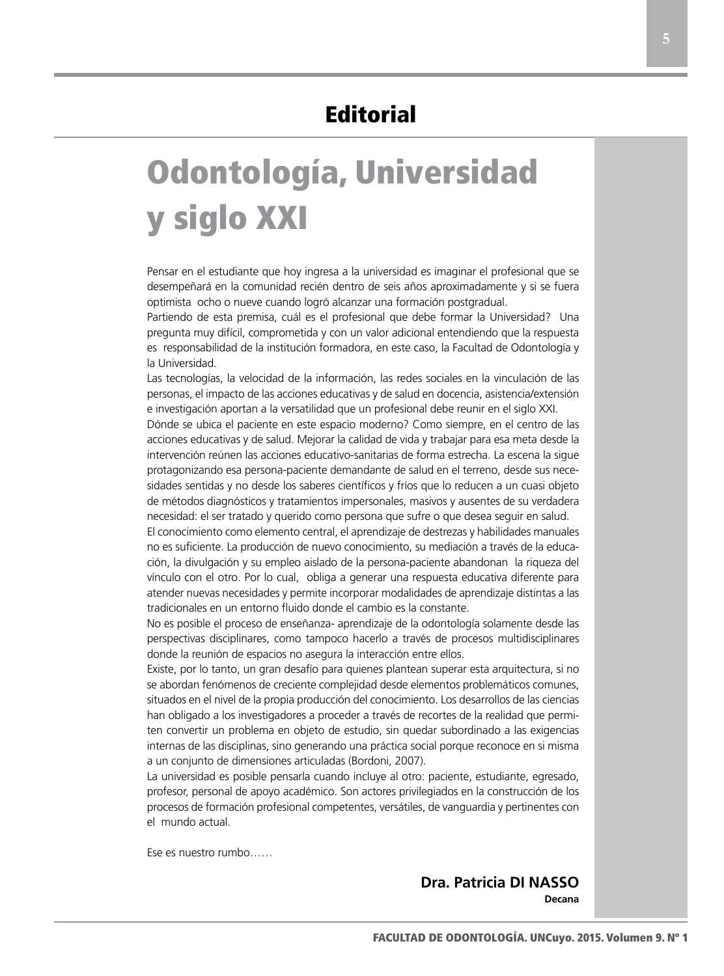## **Editorial**

## Odontología, Universidad y siglo XXI

Pensar en el estudiante que hoy ingresa a la universidad es imaginar el profesional que se desempeñará en la comunidad recién dentro de seis años aproximadamente y si se fuera optimista ocho o nueve cuando logró alcanzar una formación postgradual.

Partiendo de esta premisa, cuál es el profesional que debe formar la Universidad? Una pregunta muy difícil, comprometida y con un valor adicional entendiendo que la respuesta es responsabilidad de la institución formadora, en este caso, la Facultad de Odontología y la Universidad.

Las tecnologías, la velocidad de la información, las redes sociales en la vinculación de las personas, el impacto de las acciones educativas y de salud en docencia, asistencia/extensión e investigación aportan a la versatilidad que un profesional debe reunir en el siglo XXI.

Dónde se ubica el paciente en este espacio moderno? Como siempre, en el centro de las acciones educativas y de salud. Mejorar la calidad de vida y trabajar para esa meta desde la intervención reúnen las acciones educativo-sanitarias de forma estrecha. La escena la sigue protagonizando esa persona-paciente demandante de salud en el terreno, desde sus necesidades sentidas y no desde los saberes científicos y fríos que lo reducen a un cuasi objeto de métodos diagnósticos y tratamientos impersonales, masivos y ausentes de su verdadera necesidad: el ser tratado y querido como persona que sufre o que desea seguir en salud.

El conocimiento como elemento central, el aprendizaje de destrezas y habilidades manuales no es suficiente. La producción de nuevo conocimiento, su mediación a través de la educación, la divulgación y su empleo aislado de la persona-paciente abandonan la riqueza del vínculo con el otro. Por lo cual, obliga a generar una respuesta educativa diferente para atender nuevas necesidades y permite incorporar modalidades de aprendizaje distintas a las tradicionales en un entorno fluido donde el cambio es la constante.

No es posible el proceso de enseñanza- aprendizaje de la odontología solamente desde las perspectivas disciplinares, como tampoco hacerlo a través de procesos multidisciplinares donde la reunión de espacios no asegura la interacción entre ellos.

Existe, por lo tanto, un gran desafío para quienes plantean superar esta arquitectura, si no se abordan fenómenos de creciente complejidad desde elementos problemáticos comunes, situados en el nivel de la propia producción del conocimiento. Los desarrollos de las ciencias han obligado a los investigadores a proceder a través de recortes de la realidad que permiten convertir un problema en objeto de estudio, sin quedar subordinado a las exigencias internas de las disciplinas, sino generando una práctica social porque reconoce en si misma a un conjunto de dimensiones articuladas (Bordoni, 2007).

La universidad es posible pensarla cuando incluye al otro: paciente, estudiante, egresado, profesor, personal de apoyo académico. Son actores privilegiados en la construcción de los procesos de formación profesional competentes, versátiles, de vanguardia y pertinentes con el mundo actual.

Ese es nuestro rumbo……

**Dra. Patricia DI NASSO Decana**